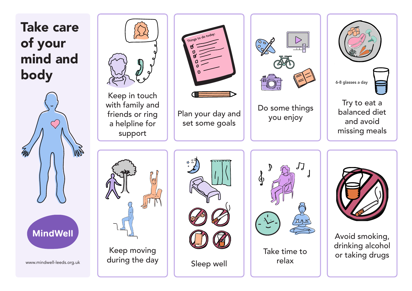Take care of your mind and body





Keep in touch with family and friends or ring a helpline for support







Do some things you enjoy



balanced diet and avoid missing meals









Avoid smoking, drinking alcohol or taking drugs